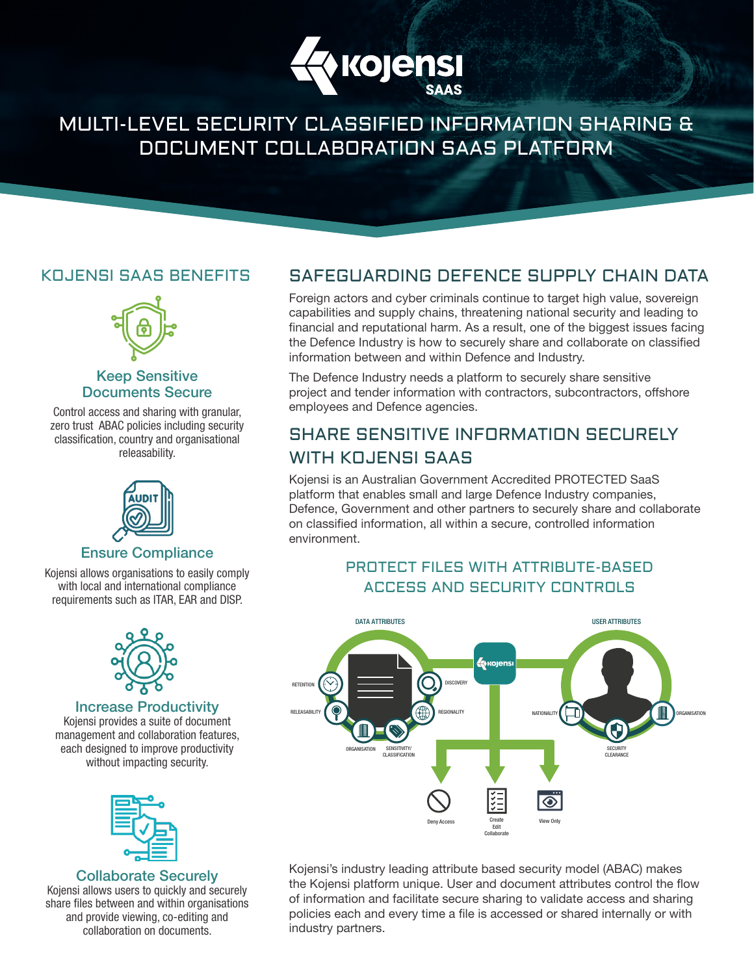

## MULTI-LEVEL SECURITY CLASSIFIED INFORMATION SHARING & DOCUMENT COLLABORATION SAAS PLATFORM

### KOJENSI SAAS BENEFITS



#### Keep Sensitive Documents Secure

Control access and sharing with granular, zero trust ABAC policies including security classification, country and organisational releasability.



#### Ensure Compliance

Kojensi allows organisations to easily comply with local and international compliance requirements such as ITAR, EAR and DISP.



#### Increase Productivity

Kojensi provides a suite of document management and collaboration features, each designed to improve productivity without impacting security.



#### Collaborate Securely

Kojensi allows users to quickly and securely share files between and within organisations and provide viewing, co-editing and collaboration on documents.

## SAFEGUARDING DEFENCE SUPPLY CHAIN DATA

Foreign actors and cyber criminals continue to target high value, sovereign capabilities and supply chains, threatening national security and leading to financial and reputational harm. As a result, one of the biggest issues facing the Defence Industry is how to securely share and collaborate on classified information between and within Defence and Industry.

The Defence Industry needs a platform to securely share sensitive project and tender information with contractors, subcontractors, offshore employees and Defence agencies.

## SHARE SENSITIVE INFORMATION SECURELY WITH KOJENSI SAAS

Kojensi is an Australian Government Accredited PROTECTED SaaS platform that enables small and large Defence Industry companies, Defence, Government and other partners to securely share and collaborate on classified information, all within a secure, controlled information environment.

### PROTECT FILES WITH ATTRIBUTE-BASED ACCESS AND SECURITY CONTROLS



Kojensi's industry leading attribute based security model (ABAC) makes the Kojensi platform unique. User and document attributes control the flow of information and facilitate secure sharing to validate access and sharing policies each and every time a file is accessed or shared internally or with industry partners.